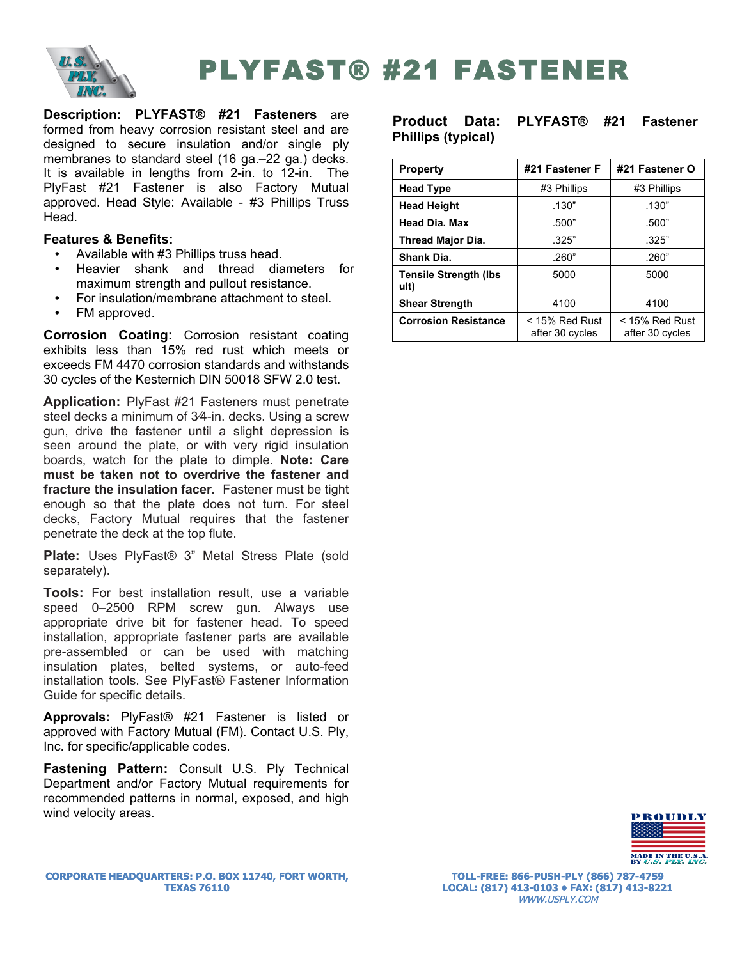

PLYFAST® #21 FASTENER

**Description: PLYFAST® #21 Fasteners** are formed from heavy corrosion resistant steel and are designed to secure insulation and/or single ply membranes to standard steel (16 ga.–22 ga.) decks. It is available in lengths from 2-in. to 12-in. The PlyFast #21 Fastener is also Factory Mutual approved. Head Style: Available - #3 Phillips Truss Head.

## **Features & Benefits:**

- Available with #3 Phillips truss head.
- Heavier shank and thread diameters for maximum strength and pullout resistance.
- For insulation/membrane attachment to steel.<br>• FM annroved
- FM approved.

**Corrosion Coating:** Corrosion resistant coating exhibits less than 15% red rust which meets or exceeds FM 4470 corrosion standards and withstands 30 cycles of the Kesternich DIN 50018 SFW 2.0 test.

**Application:** PlyFast #21 Fasteners must penetrate steel decks a minimum of 3⁄4-in. decks. Using a screw gun, drive the fastener until a slight depression is seen around the plate, or with very rigid insulation boards, watch for the plate to dimple. **Note: Care must be taken not to overdrive the fastener and fracture the insulation facer.** Fastener must be tight enough so that the plate does not turn. For steel decks, Factory Mutual requires that the fastener penetrate the deck at the top flute.

**Plate:** Uses PlyFast® 3" Metal Stress Plate (sold separately).

**Tools:** For best installation result, use a variable speed 0–2500 RPM screw gun. Always use appropriate drive bit for fastener head. To speed installation, appropriate fastener parts are available pre-assembled or can be used with matching insulation plates, belted systems, or auto-feed installation tools. See PlyFast® Fastener Information Guide for specific details.

**Approvals:** PlyFast® #21 Fastener is listed or approved with Factory Mutual (FM). Contact U.S. Ply, Inc. for specific/applicable codes.

**Fastening Pattern:** Consult U.S. Ply Technical Department and/or Factory Mutual requirements for recommended patterns in normal, exposed, and high wind velocity areas.

**Product Data: PLYFAST® #21 Fastener Phillips (typical)** 

| <b>Property</b>                       | #21 Fastener F<br>#21 Fastener O    |                                     |  |
|---------------------------------------|-------------------------------------|-------------------------------------|--|
| <b>Head Type</b>                      | #3 Phillips                         | #3 Phillips                         |  |
| <b>Head Height</b>                    | .130"                               | .130"                               |  |
| <b>Head Dia. Max</b>                  | .500"                               | .500"                               |  |
| <b>Thread Major Dia.</b>              | .325"                               | .325"                               |  |
| Shank Dia.                            | .260"                               | .260"                               |  |
| <b>Tensile Strength (Ibs)</b><br>ult) | 5000                                | 5000                                |  |
| <b>Shear Strength</b>                 | 4100                                | 4100                                |  |
| <b>Corrosion Resistance</b>           | $<$ 15% Red Rust<br>after 30 cycles | $<$ 15% Red Rust<br>after 30 cycles |  |



**TOLL-FREE: 866-PUSH-PLY (866) 787-4759 LOCAL: (817) 413-0103 • FAX: (817) 413-8221** WWW.USPLY.COM